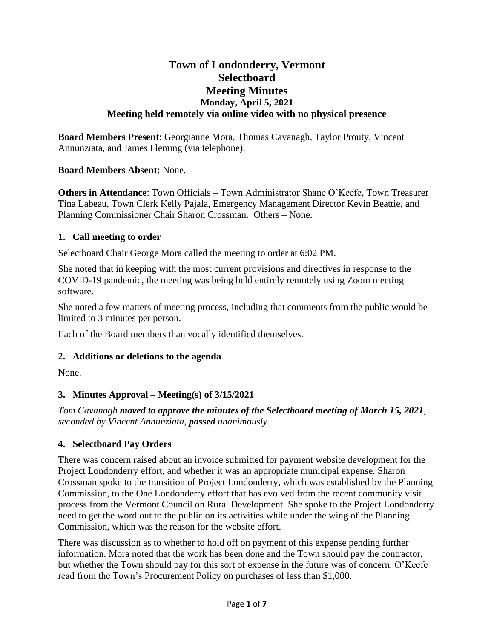# **Town of Londonderry, Vermont Selectboard Meeting Minutes Monday, April 5, 2021 Meeting held remotely via online video with no physical presence**

**Board Members Present**: Georgianne Mora, Thomas Cavanagh, Taylor Prouty, Vincent Annunziata, and James Fleming (via telephone).

## **Board Members Absent:** None.

**Others in Attendance**: Town Officials – Town Administrator Shane O'Keefe, Town Treasurer Tina Labeau, Town Clerk Kelly Pajala, Emergency Management Director Kevin Beattie, and Planning Commissioner Chair Sharon Crossman. Others – None.

## **1. Call meeting to order**

Selectboard Chair George Mora called the meeting to order at 6:02 PM.

She noted that in keeping with the most current provisions and directives in response to the COVID-19 pandemic, the meeting was being held entirely remotely using Zoom meeting software.

She noted a few matters of meeting process, including that comments from the public would be limited to 3 minutes per person.

Each of the Board members than vocally identified themselves.

# **2. Additions or deletions to the agenda**

None.

# **3. Minutes Approval – Meeting(s) of 3/15/2021**

*Tom Cavanagh moved to approve the minutes of the Selectboard meeting of March 15, 2021, seconded by Vincent Annunziata, passed unanimously.*

# **4. Selectboard Pay Orders**

There was concern raised about an invoice submitted for payment website development for the Project Londonderry effort, and whether it was an appropriate municipal expense. Sharon Crossman spoke to the transition of Project Londonderry, which was established by the Planning Commission, to the One Londonderry effort that has evolved from the recent community visit process from the Vermont Council on Rural Development. She spoke to the Project Londonderry need to get the word out to the public on its activities while under the wing of the Planning Commission, which was the reason for the website effort.

There was discussion as to whether to hold off on payment of this expense pending further information. Mora noted that the work has been done and the Town should pay the contractor, but whether the Town should pay for this sort of expense in the future was of concern. O'Keefe read from the Town's Procurement Policy on purchases of less than \$1,000.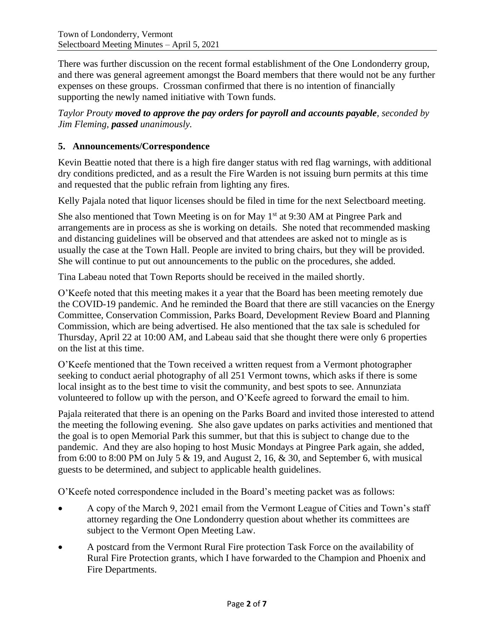There was further discussion on the recent formal establishment of the One Londonderry group, and there was general agreement amongst the Board members that there would not be any further expenses on these groups. Crossman confirmed that there is no intention of financially supporting the newly named initiative with Town funds.

*Taylor Prouty moved to approve the pay orders for payroll and accounts payable, seconded by Jim Fleming, passed unanimously.*

# **5. Announcements/Correspondence**

Kevin Beattie noted that there is a high fire danger status with red flag warnings, with additional dry conditions predicted, and as a result the Fire Warden is not issuing burn permits at this time and requested that the public refrain from lighting any fires.

Kelly Pajala noted that liquor licenses should be filed in time for the next Selectboard meeting.

She also mentioned that Town Meeting is on for May  $1<sup>st</sup>$  at 9:30 AM at Pingree Park and arrangements are in process as she is working on details. She noted that recommended masking and distancing guidelines will be observed and that attendees are asked not to mingle as is usually the case at the Town Hall. People are invited to bring chairs, but they will be provided. She will continue to put out announcements to the public on the procedures, she added.

Tina Labeau noted that Town Reports should be received in the mailed shortly.

O'Keefe noted that this meeting makes it a year that the Board has been meeting remotely due the COVID-19 pandemic. And he reminded the Board that there are still vacancies on the Energy Committee, Conservation Commission, Parks Board, Development Review Board and Planning Commission, which are being advertised. He also mentioned that the tax sale is scheduled for Thursday, April 22 at 10:00 AM, and Labeau said that she thought there were only 6 properties on the list at this time.

O'Keefe mentioned that the Town received a written request from a Vermont photographer seeking to conduct aerial photography of all 251 Vermont towns, which asks if there is some local insight as to the best time to visit the community, and best spots to see. Annunziata volunteered to follow up with the person, and O'Keefe agreed to forward the email to him.

Pajala reiterated that there is an opening on the Parks Board and invited those interested to attend the meeting the following evening. She also gave updates on parks activities and mentioned that the goal is to open Memorial Park this summer, but that this is subject to change due to the pandemic. And they are also hoping to host Music Mondays at Pingree Park again, she added, from 6:00 to 8:00 PM on July 5  $\&$  19, and August 2, 16,  $\&$  30, and September 6, with musical guests to be determined, and subject to applicable health guidelines.

O'Keefe noted correspondence included in the Board's meeting packet was as follows:

- A copy of the March 9, 2021 email from the Vermont League of Cities and Town's staff attorney regarding the One Londonderry question about whether its committees are subject to the Vermont Open Meeting Law.
- A postcard from the Vermont Rural Fire protection Task Force on the availability of Rural Fire Protection grants, which I have forwarded to the Champion and Phoenix and Fire Departments.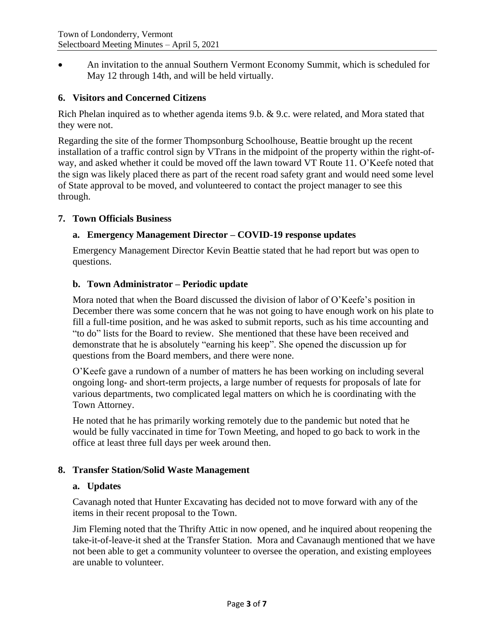• An invitation to the annual Southern Vermont Economy Summit, which is scheduled for May 12 through 14th, and will be held virtually.

### **6. Visitors and Concerned Citizens**

Rich Phelan inquired as to whether agenda items 9.b. & 9.c. were related, and Mora stated that they were not.

Regarding the site of the former Thompsonburg Schoolhouse, Beattie brought up the recent installation of a traffic control sign by VTrans in the midpoint of the property within the right-ofway, and asked whether it could be moved off the lawn toward VT Route 11. O'Keefe noted that the sign was likely placed there as part of the recent road safety grant and would need some level of State approval to be moved, and volunteered to contact the project manager to see this through.

#### **7. Town Officials Business**

#### **a. Emergency Management Director – COVID-19 response updates**

Emergency Management Director Kevin Beattie stated that he had report but was open to questions.

#### **b. Town Administrator – Periodic update**

Mora noted that when the Board discussed the division of labor of O'Keefe's position in December there was some concern that he was not going to have enough work on his plate to fill a full-time position, and he was asked to submit reports, such as his time accounting and "to do" lists for the Board to review. She mentioned that these have been received and demonstrate that he is absolutely "earning his keep". She opened the discussion up for questions from the Board members, and there were none.

O'Keefe gave a rundown of a number of matters he has been working on including several ongoing long- and short-term projects, a large number of requests for proposals of late for various departments, two complicated legal matters on which he is coordinating with the Town Attorney.

He noted that he has primarily working remotely due to the pandemic but noted that he would be fully vaccinated in time for Town Meeting, and hoped to go back to work in the office at least three full days per week around then.

#### **8. Transfer Station/Solid Waste Management**

#### **a. Updates**

Cavanagh noted that Hunter Excavating has decided not to move forward with any of the items in their recent proposal to the Town.

Jim Fleming noted that the Thrifty Attic in now opened, and he inquired about reopening the take-it-of-leave-it shed at the Transfer Station. Mora and Cavanaugh mentioned that we have not been able to get a community volunteer to oversee the operation, and existing employees are unable to volunteer.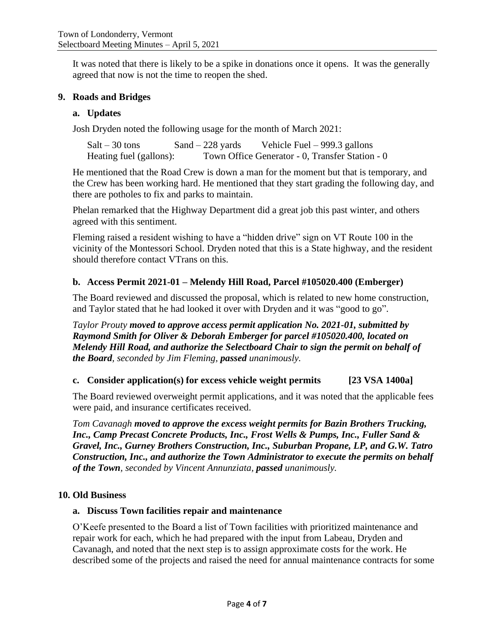It was noted that there is likely to be a spike in donations once it opens. It was the generally agreed that now is not the time to reopen the shed.

#### **9. Roads and Bridges**

#### **a. Updates**

Josh Dryden noted the following usage for the month of March 2021:

| $Salt - 30$ tons        | $Sand - 228$ yards | Vehicle Fuel $-999.3$ gallons                   |  |
|-------------------------|--------------------|-------------------------------------------------|--|
| Heating fuel (gallons): |                    | Town Office Generator - 0, Transfer Station - 0 |  |

He mentioned that the Road Crew is down a man for the moment but that is temporary, and the Crew has been working hard. He mentioned that they start grading the following day, and there are potholes to fix and parks to maintain.

Phelan remarked that the Highway Department did a great job this past winter, and others agreed with this sentiment.

Fleming raised a resident wishing to have a "hidden drive" sign on VT Route 100 in the vicinity of the Montessori School. Dryden noted that this is a State highway, and the resident should therefore contact VTrans on this.

#### **b. Access Permit 2021-01 – Melendy Hill Road, Parcel #105020.400 (Emberger)**

The Board reviewed and discussed the proposal, which is related to new home construction, and Taylor stated that he had looked it over with Dryden and it was "good to go".

*Taylor Prouty moved to approve access permit application No. 2021-01, submitted by Raymond Smith for Oliver & Deborah Emberger for parcel #105020.400, located on Melendy Hill Road, and authorize the Selectboard Chair to sign the permit on behalf of the Board, seconded by Jim Fleming, passed unanimously.*

#### **c. Consider application(s) for excess vehicle weight permits [23 VSA 1400a]**

The Board reviewed overweight permit applications, and it was noted that the applicable fees were paid, and insurance certificates received.

*Tom Cavanagh moved to approve the excess weight permits for Bazin Brothers Trucking, Inc., Camp Precast Concrete Products, Inc., Frost Wells & Pumps, Inc., Fuller Sand & Gravel, Inc., Gurney Brothers Construction, Inc., Suburban Propane, LP, and G.W. Tatro Construction, Inc., and authorize the Town Administrator to execute the permits on behalf of the Town, seconded by Vincent Annunziata, passed unanimously.*

#### **10. Old Business**

#### **a. Discuss Town facilities repair and maintenance**

O'Keefe presented to the Board a list of Town facilities with prioritized maintenance and repair work for each, which he had prepared with the input from Labeau, Dryden and Cavanagh, and noted that the next step is to assign approximate costs for the work. He described some of the projects and raised the need for annual maintenance contracts for some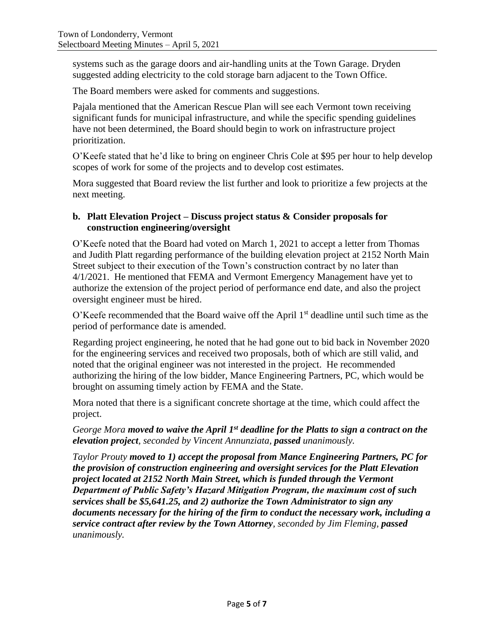systems such as the garage doors and air-handling units at the Town Garage. Dryden suggested adding electricity to the cold storage barn adjacent to the Town Office.

The Board members were asked for comments and suggestions.

Pajala mentioned that the American Rescue Plan will see each Vermont town receiving significant funds for municipal infrastructure, and while the specific spending guidelines have not been determined, the Board should begin to work on infrastructure project prioritization.

O'Keefe stated that he'd like to bring on engineer Chris Cole at \$95 per hour to help develop scopes of work for some of the projects and to develop cost estimates.

Mora suggested that Board review the list further and look to prioritize a few projects at the next meeting.

### **b. Platt Elevation Project – Discuss project status & Consider proposals for construction engineering/oversight**

O'Keefe noted that the Board had voted on March 1, 2021 to accept a letter from Thomas and Judith Platt regarding performance of the building elevation project at 2152 North Main Street subject to their execution of the Town's construction contract by no later than 4/1/2021. He mentioned that FEMA and Vermont Emergency Management have yet to authorize the extension of the project period of performance end date, and also the project oversight engineer must be hired.

 $O'$ Keefe recommended that the Board waive off the April  $1<sup>st</sup>$  deadline until such time as the period of performance date is amended.

Regarding project engineering, he noted that he had gone out to bid back in November 2020 for the engineering services and received two proposals, both of which are still valid, and noted that the original engineer was not interested in the project. He recommended authorizing the hiring of the low bidder, Mance Engineering Partners, PC, which would be brought on assuming timely action by FEMA and the State.

Mora noted that there is a significant concrete shortage at the time, which could affect the project.

*George Mora moved to waive the April 1st deadline for the Platts to sign a contract on the elevation project, seconded by Vincent Annunziata, passed unanimously.*

*Taylor Prouty moved to 1) accept the proposal from Mance Engineering Partners, PC for the provision of construction engineering and oversight services for the Platt Elevation project located at 2152 North Main Street, which is funded through the Vermont Department of Public Safety's Hazard Mitigation Program, the maximum cost of such services shall be \$5,641.25, and 2) authorize the Town Administrator to sign any documents necessary for the hiring of the firm to conduct the necessary work, including a service contract after review by the Town Attorney, seconded by Jim Fleming, passed unanimously.*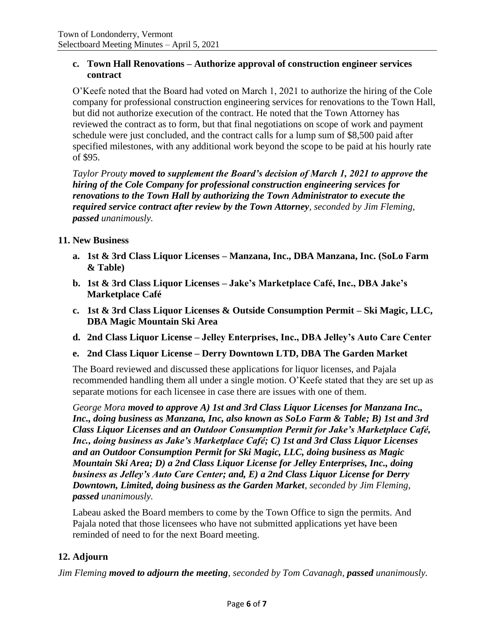### **c. Town Hall Renovations – Authorize approval of construction engineer services contract**

O'Keefe noted that the Board had voted on March 1, 2021 to authorize the hiring of the Cole company for professional construction engineering services for renovations to the Town Hall, but did not authorize execution of the contract. He noted that the Town Attorney has reviewed the contract as to form, but that final negotiations on scope of work and payment schedule were just concluded, and the contract calls for a lump sum of \$8,500 paid after specified milestones, with any additional work beyond the scope to be paid at his hourly rate of \$95.

*Taylor Prouty moved to supplement the Board's decision of March 1, 2021 to approve the hiring of the Cole Company for professional construction engineering services for renovations to the Town Hall by authorizing the Town Administrator to execute the required service contract after review by the Town Attorney, seconded by Jim Fleming, passed unanimously.*

## **11. New Business**

- **a. 1st & 3rd Class Liquor Licenses – Manzana, Inc., DBA Manzana, Inc. (SoLo Farm & Table)**
- **b. 1st & 3rd Class Liquor Licenses – Jake's Marketplace Café, Inc., DBA Jake's Marketplace Café**
- **c. 1st & 3rd Class Liquor Licenses & Outside Consumption Permit – Ski Magic, LLC, DBA Magic Mountain Ski Area**
- **d. 2nd Class Liquor License – Jelley Enterprises, Inc., DBA Jelley's Auto Care Center**
- **e. 2nd Class Liquor License – Derry Downtown LTD, DBA The Garden Market**

The Board reviewed and discussed these applications for liquor licenses, and Pajala recommended handling them all under a single motion. O'Keefe stated that they are set up as separate motions for each licensee in case there are issues with one of them.

*George Mora moved to approve A) 1st and 3rd Class Liquor Licenses for Manzana Inc., Inc., doing business as Manzana, Inc, also known as SoLo Farm & Table; B) 1st and 3rd Class Liquor Licenses and an Outdoor Consumption Permit for Jake's Marketplace Café, Inc., doing business as Jake's Marketplace Café; C) 1st and 3rd Class Liquor Licenses and an Outdoor Consumption Permit for Ski Magic, LLC, doing business as Magic Mountain Ski Area; D) a 2nd Class Liquor License for Jelley Enterprises, Inc., doing business as Jelley's Auto Care Center; and, E) a 2nd Class Liquor License for Derry Downtown, Limited, doing business as the Garden Market, seconded by Jim Fleming, passed unanimously.*

Labeau asked the Board members to come by the Town Office to sign the permits. And Pajala noted that those licensees who have not submitted applications yet have been reminded of need to for the next Board meeting.

## **12. Adjourn**

*Jim Fleming moved to adjourn the meeting, seconded by Tom Cavanagh, passed unanimously.*